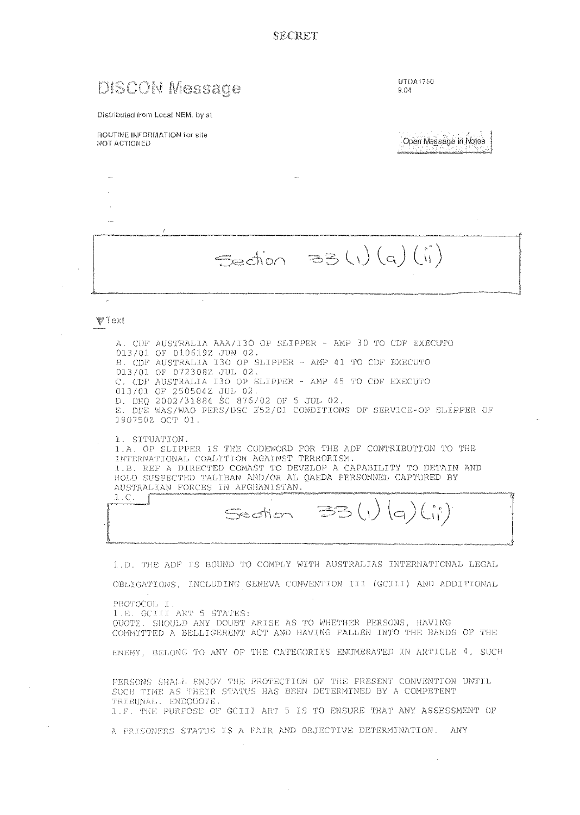**SECRET** 

# **DISCON Message**

UTOA1750  $9.04$ 

Distributed from Local NEM, by at

#### ROUTINE INFORMATION for site NOT ACTIONED

Open Message In Notes

Section 33 (1) (a) (ii)

### Viext

A. CDF AUSTRALIA AAA/I3O OP SLIPPER - AMP 30 TO CDF EXECUTO 013/01 OF 0106192 JUN 02. B. CDF AUSTRALIA I30 OP SLIPPER - AMP 41 TO CDF EXECUTO 013/01 OF 0723082 JUL 02. C. CDF AUSTRALIA I30 OP SLIPPER - AMP 45 TO CDF EXECUTO 013/01 OF 2505042 JUL 02. D. DHQ 2002/31884 SC 876/02 OF 5 JUL 02. E. DPE WAS/WAO PERS/DSC 252/01 CONDITIONS OF SERVICE-OP SLIPPER OF 1907502 OCT 01. 1. SITUATION. 1.A. OP SLIPPER IS THE CODEWORD FOR THE ADF CONTRIBUTION TO THE INTERNATIONAL COALITION AGAINST TERRORISM. 1.B. REF A DIRECTED COMAST TO DEVELOP A CAPABILITY TO DETAIN AND

AUSTRALIAN FORCES IN AFGHANISTAN.  $1.C.$  $(a)$ Section

HOLD SUSPECTED TALIBAN AND/OR AL QAEDA PERSONNEL CAPTURED BY

1.D. THE ADF IS BOUND TO COMPLY WITH AUSTRALIAS INTERNATIONAL LEGAL

OBLIGATIONS, INCLUDING GENEVA CONVENTION III (GCIII) AND ADDITIONAL

PROTOCOL I. 1.E. GCIII ART 5 STATES: QUOTE. SHOULD ANY DOUBT ARISE AS TO WHETHER PERSONS, HAVING COMMITTED A BELLIGERENT ACT AND HAVING FALLEN INTO THE HANDS OF THE ENEMY, BELONG TO ANY OF THE CATEGORIES ENUMERATED IN ARTICLE 4, SUCH

PERSONS SHALL ENJOY THE PROTECTION OF THE PRESENT CONVENTION UNTIL SUCH TIME AS THEIR STATUS HAS BEEN DETERMINED BY A COMPETENT TRIBUNAL. ENDQUOTE. 1.F. THE PURPOSE OF GCIII ART 5 IS TO ENSURE THAT ANY ASSESSMENT OF

A PRISONERS STATUS IS A FAIR AND OBJECTIVE DETERMINATION. ANY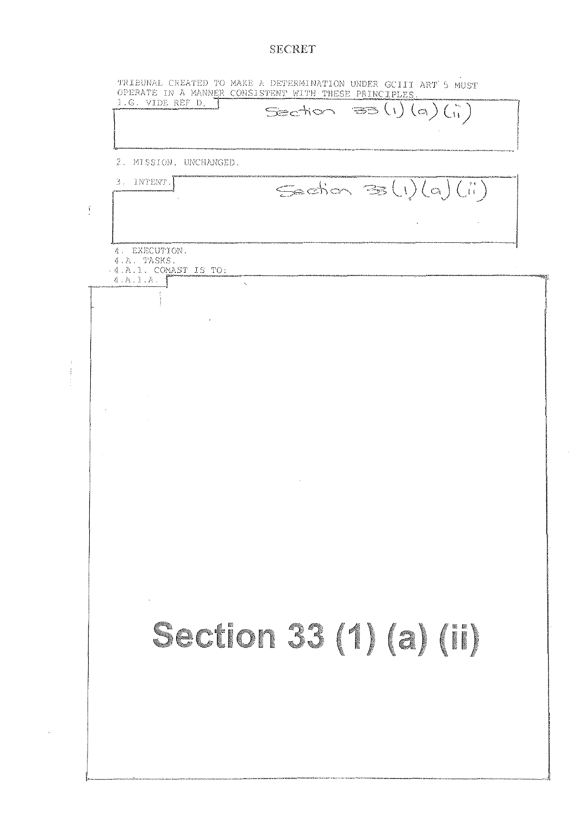## **SECRET**

|               | 2. MISSION, UNCHANGED.                  |
|---------------|-----------------------------------------|
|               | 3. INTENT.<br>$Sishon \equiv (1)(q)(n)$ |
| $\frac{1}{2}$ |                                         |
|               | 4. EXECUTION.                           |
|               | 4 A. TASKS.<br>. 4.A.1. COMAST IS TO:   |
|               | 4.A.1.A.<br>$\sim$                      |
|               |                                         |
|               |                                         |
|               |                                         |
|               |                                         |
|               |                                         |
|               |                                         |
|               |                                         |
|               |                                         |
|               |                                         |
|               |                                         |
|               |                                         |
|               |                                         |
|               |                                         |
|               |                                         |
|               |                                         |
|               | Section 33 (1) (a) (II)                 |
|               |                                         |
|               |                                         |
|               |                                         |
|               |                                         |
|               |                                         |

 $\hat{\mathcal{A}}$